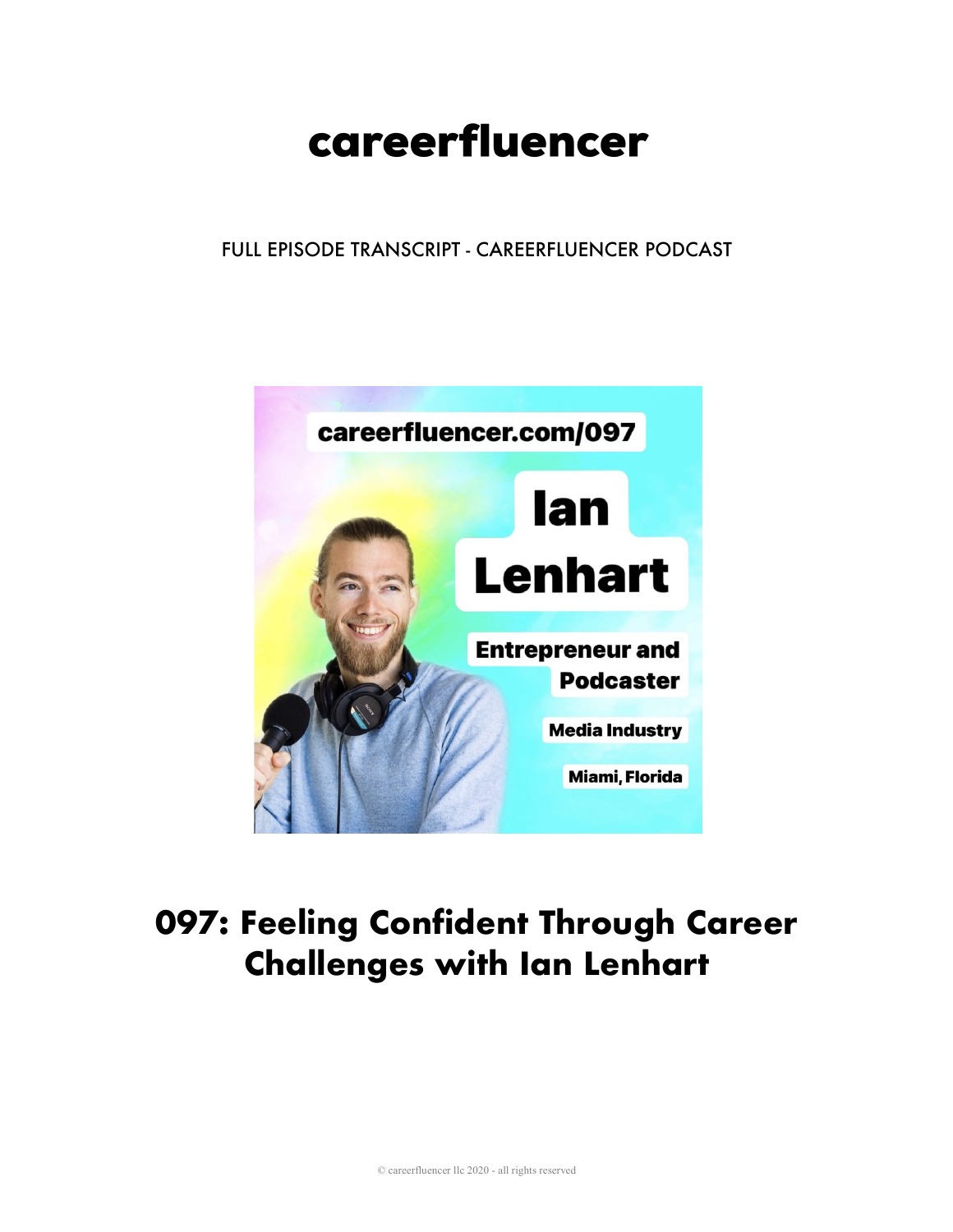# careerfluencer

## FULL EPISODE TRANSCRIPT - CAREERFLUENCER PODCAST



# **097: Feeling Confident Through Career Challenges with Ian Lenhart**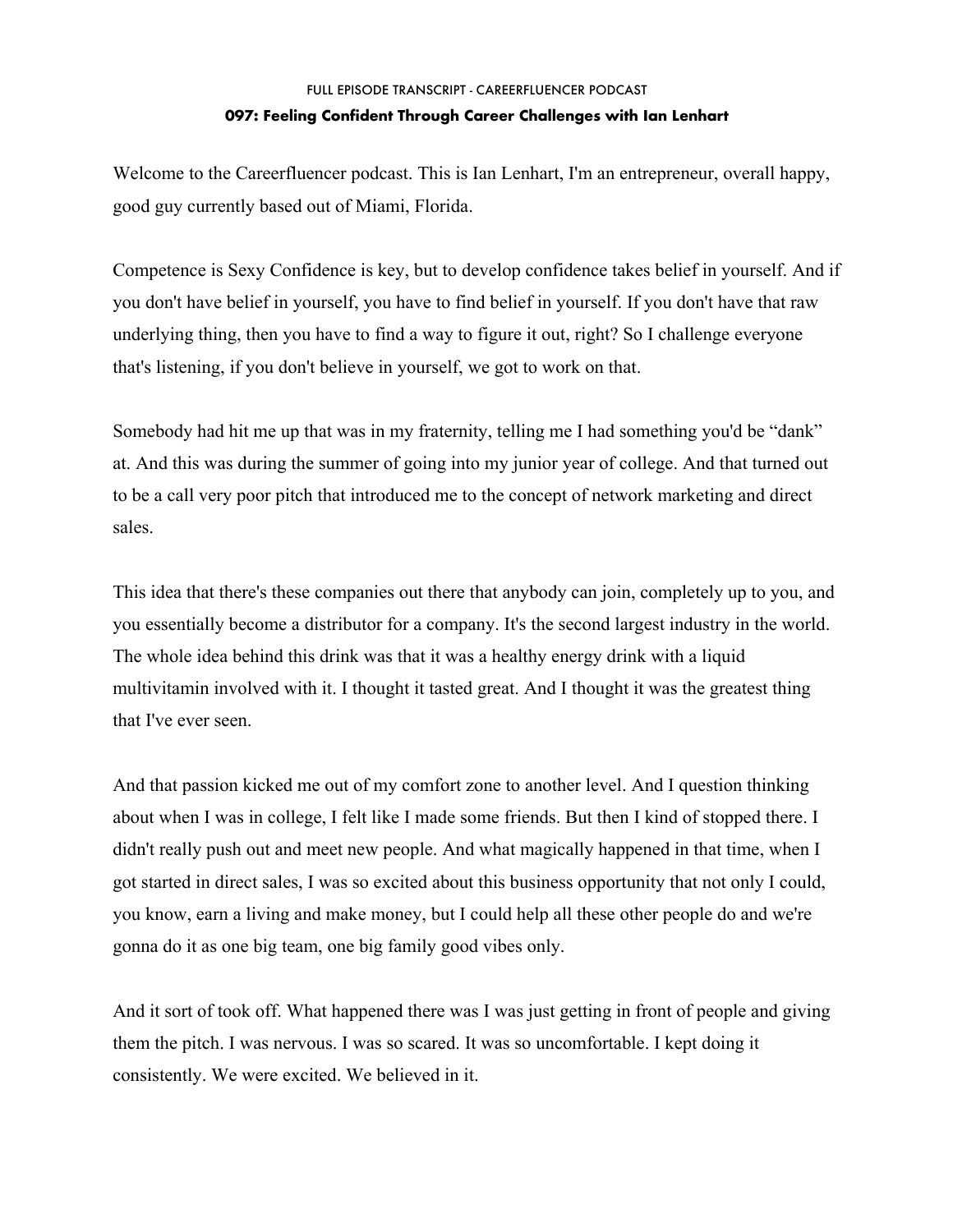Welcome to the Careerfluencer podcast. This is Ian Lenhart, I'm an entrepreneur, overall happy, good guy currently based out of Miami, Florida.

Competence is Sexy Confidence is key, but to develop confidence takes belief in yourself. And if you don't have belief in yourself, you have to find belief in yourself. If you don't have that raw underlying thing, then you have to find a way to figure it out, right? So I challenge everyone that's listening, if you don't believe in yourself, we got to work on that.

Somebody had hit me up that was in my fraternity, telling me I had something you'd be "dank" at. And this was during the summer of going into my junior year of college. And that turned out to be a call very poor pitch that introduced me to the concept of network marketing and direct sales.

This idea that there's these companies out there that anybody can join, completely up to you, and you essentially become a distributor for a company. It's the second largest industry in the world. The whole idea behind this drink was that it was a healthy energy drink with a liquid multivitamin involved with it. I thought it tasted great. And I thought it was the greatest thing that I've ever seen.

And that passion kicked me out of my comfort zone to another level. And I question thinking about when I was in college, I felt like I made some friends. But then I kind of stopped there. I didn't really push out and meet new people. And what magically happened in that time, when I got started in direct sales, I was so excited about this business opportunity that not only I could, you know, earn a living and make money, but I could help all these other people do and we're gonna do it as one big team, one big family good vibes only.

And it sort of took off. What happened there was I was just getting in front of people and giving them the pitch. I was nervous. I was so scared. It was so uncomfortable. I kept doing it consistently. We were excited. We believed in it.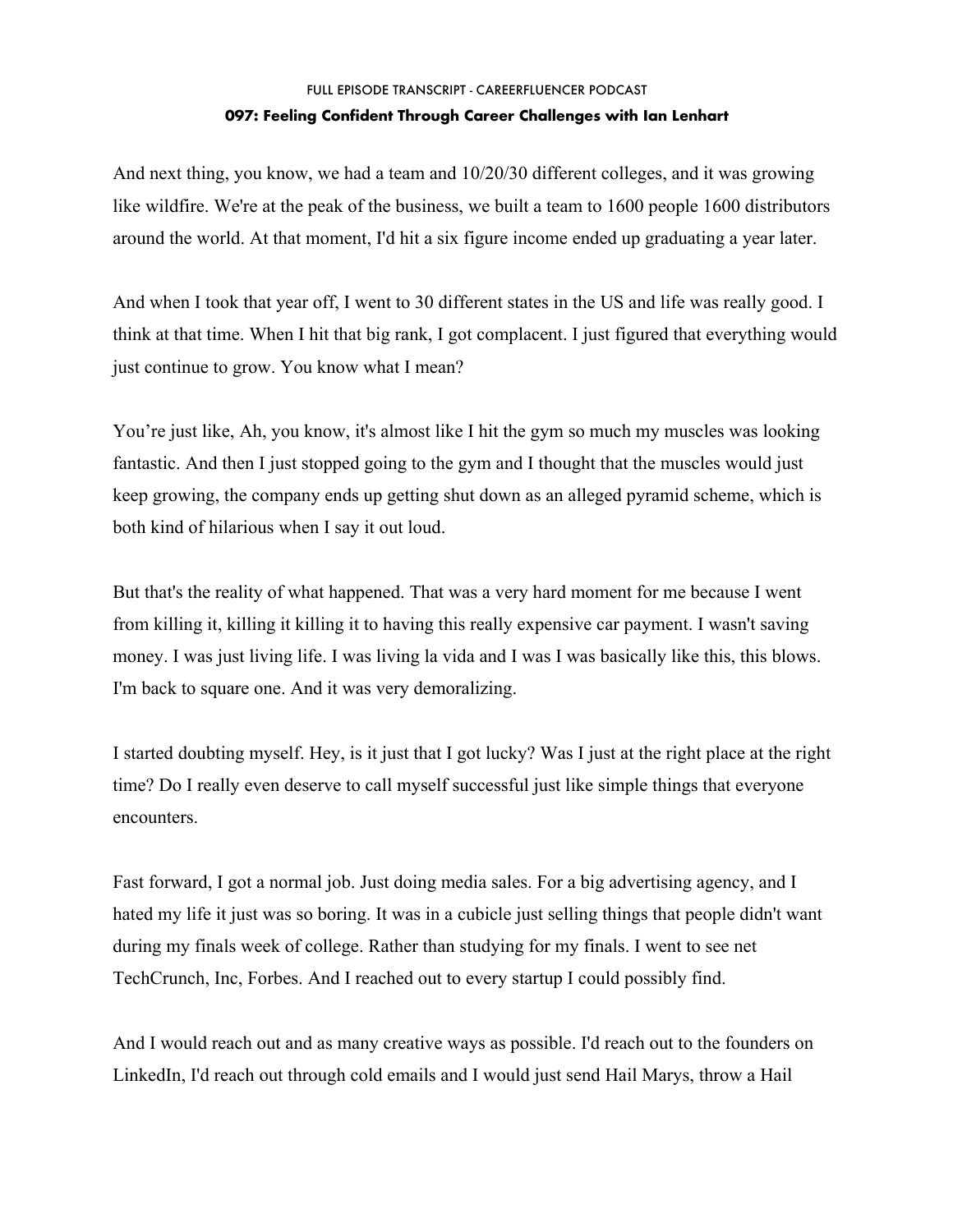And next thing, you know, we had a team and 10/20/30 different colleges, and it was growing like wildfire. We're at the peak of the business, we built a team to 1600 people 1600 distributors around the world. At that moment, I'd hit a six figure income ended up graduating a year later.

And when I took that year off, I went to 30 different states in the US and life was really good. I think at that time. When I hit that big rank, I got complacent. I just figured that everything would just continue to grow. You know what I mean?

You're just like, Ah, you know, it's almost like I hit the gym so much my muscles was looking fantastic. And then I just stopped going to the gym and I thought that the muscles would just keep growing, the company ends up getting shut down as an alleged pyramid scheme, which is both kind of hilarious when I say it out loud.

But that's the reality of what happened. That was a very hard moment for me because I went from killing it, killing it killing it to having this really expensive car payment. I wasn't saving money. I was just living life. I was living la vida and I was I was basically like this, this blows. I'm back to square one. And it was very demoralizing.

I started doubting myself. Hey, is it just that I got lucky? Was I just at the right place at the right time? Do I really even deserve to call myself successful just like simple things that everyone encounters.

Fast forward, I got a normal job. Just doing media sales. For a big advertising agency, and I hated my life it just was so boring. It was in a cubicle just selling things that people didn't want during my finals week of college. Rather than studying for my finals. I went to see net TechCrunch, Inc, Forbes. And I reached out to every startup I could possibly find.

And I would reach out and as many creative ways as possible. I'd reach out to the founders on LinkedIn, I'd reach out through cold emails and I would just send Hail Marys, throw a Hail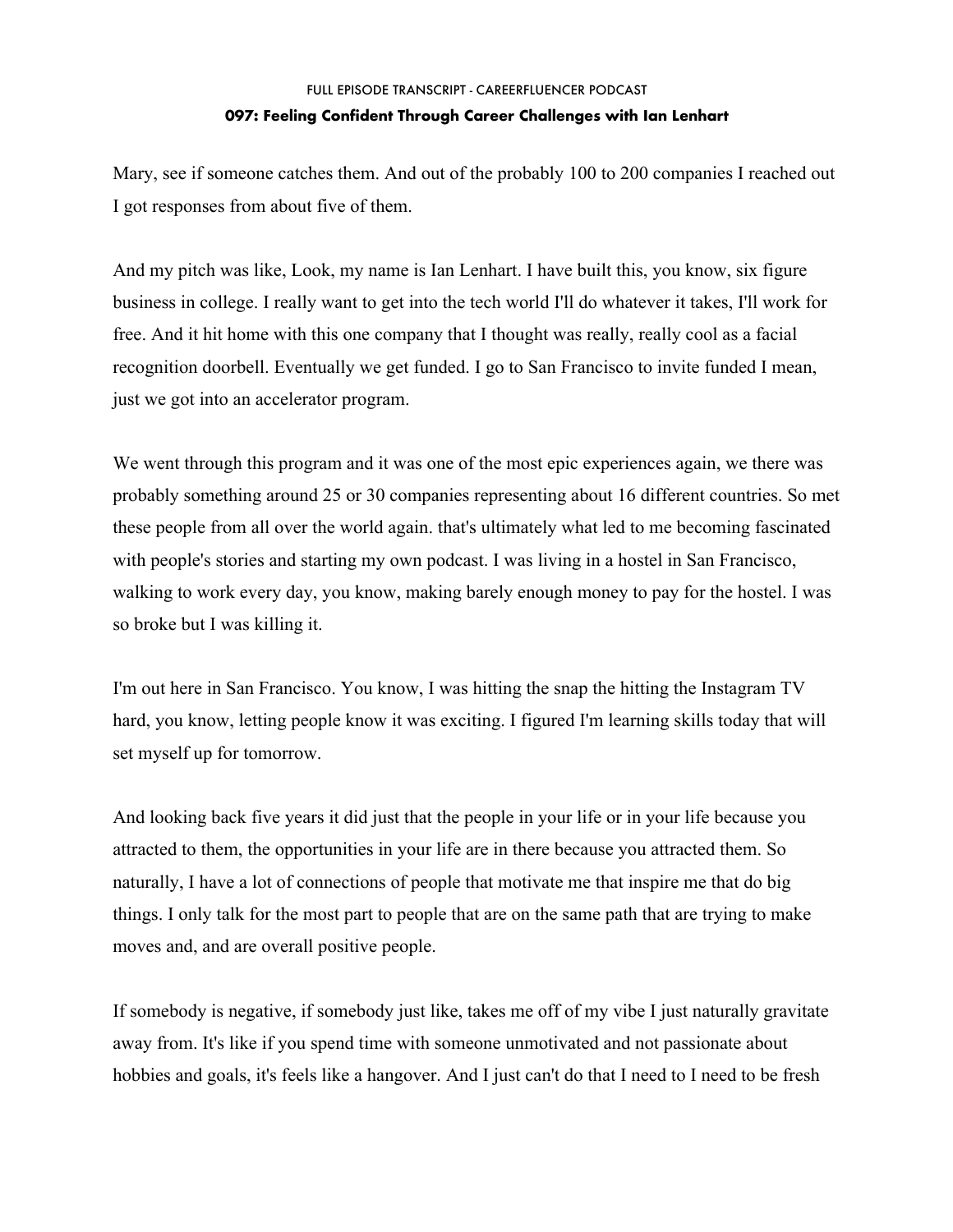Mary, see if someone catches them. And out of the probably 100 to 200 companies I reached out I got responses from about five of them.

And my pitch was like, Look, my name is Ian Lenhart. I have built this, you know, six figure business in college. I really want to get into the tech world I'll do whatever it takes, I'll work for free. And it hit home with this one company that I thought was really, really cool as a facial recognition doorbell. Eventually we get funded. I go to San Francisco to invite funded I mean, just we got into an accelerator program.

We went through this program and it was one of the most epic experiences again, we there was probably something around 25 or 30 companies representing about 16 different countries. So met these people from all over the world again. that's ultimately what led to me becoming fascinated with people's stories and starting my own podcast. I was living in a hostel in San Francisco, walking to work every day, you know, making barely enough money to pay for the hostel. I was so broke but I was killing it.

I'm out here in San Francisco. You know, I was hitting the snap the hitting the Instagram TV hard, you know, letting people know it was exciting. I figured I'm learning skills today that will set myself up for tomorrow.

And looking back five years it did just that the people in your life or in your life because you attracted to them, the opportunities in your life are in there because you attracted them. So naturally, I have a lot of connections of people that motivate me that inspire me that do big things. I only talk for the most part to people that are on the same path that are trying to make moves and, and are overall positive people.

If somebody is negative, if somebody just like, takes me off of my vibe I just naturally gravitate away from. It's like if you spend time with someone unmotivated and not passionate about hobbies and goals, it's feels like a hangover. And I just can't do that I need to I need to be fresh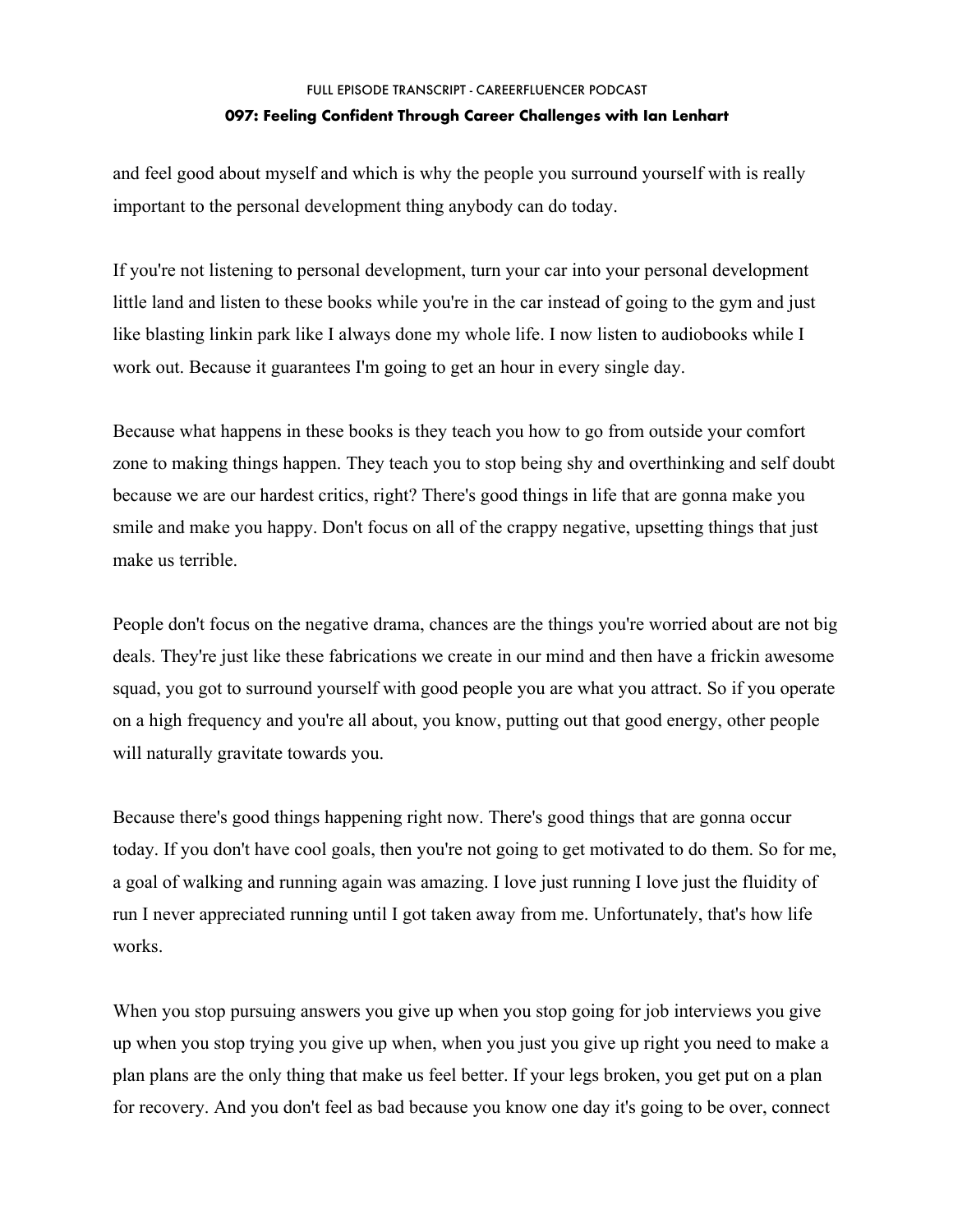and feel good about myself and which is why the people you surround yourself with is really important to the personal development thing anybody can do today.

If you're not listening to personal development, turn your car into your personal development little land and listen to these books while you're in the car instead of going to the gym and just like blasting linkin park like I always done my whole life. I now listen to audiobooks while I work out. Because it guarantees I'm going to get an hour in every single day.

Because what happens in these books is they teach you how to go from outside your comfort zone to making things happen. They teach you to stop being shy and overthinking and self doubt because we are our hardest critics, right? There's good things in life that are gonna make you smile and make you happy. Don't focus on all of the crappy negative, upsetting things that just make us terrible.

People don't focus on the negative drama, chances are the things you're worried about are not big deals. They're just like these fabrications we create in our mind and then have a frickin awesome squad, you got to surround yourself with good people you are what you attract. So if you operate on a high frequency and you're all about, you know, putting out that good energy, other people will naturally gravitate towards you.

Because there's good things happening right now. There's good things that are gonna occur today. If you don't have cool goals, then you're not going to get motivated to do them. So for me, a goal of walking and running again was amazing. I love just running I love just the fluidity of run I never appreciated running until I got taken away from me. Unfortunately, that's how life works.

When you stop pursuing answers you give up when you stop going for job interviews you give up when you stop trying you give up when, when you just you give up right you need to make a plan plans are the only thing that make us feel better. If your legs broken, you get put on a plan for recovery. And you don't feel as bad because you know one day it's going to be over, connect